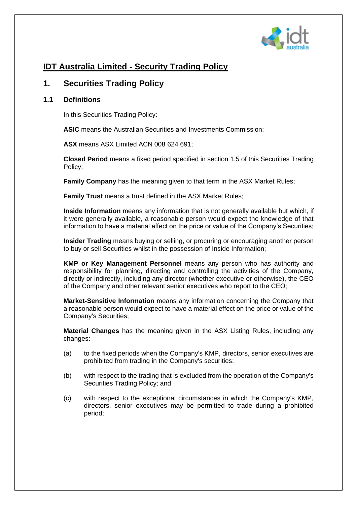

# **IDT Australia Limited - Security Trading Policy**

# **1. Securities Trading Policy**

## **1.1 Definitions**

In this Securities Trading Policy:

**ASIC** means the Australian Securities and Investments Commission;

**ASX** means ASX Limited ACN 008 624 691;

**Closed Period** means a fixed period specified in section [1.5](#page-3-0) of this Securities Trading Policy;

**Family Company** has the meaning given to that term in the ASX Market Rules;

**Family Trust** means a trust defined in the ASX Market Rules;

**Inside Information** means any information that is not generally available but which, if it were generally available, a reasonable person would expect the knowledge of that information to have a material effect on the price or value of the Company's Securities;

**Insider Trading** means buying or selling, or procuring or encouraging another person to buy or sell Securities whilst in the possession of Inside Information;

**KMP or Key Management Personnel** means any person who has authority and responsibility for planning, directing and controlling the activities of the Company, directly or indirectly, including any director (whether executive or otherwise), the CEO of the Company and other relevant senior executives who report to the CEO;

**Market-Sensitive Information** means any information concerning the Company that a reasonable person would expect to have a material effect on the price or value of the Company's Securities;

**Material Changes** has the meaning given in the ASX Listing Rules, including any changes:

- (a) to the fixed periods when the Company's KMP, directors, senior executives are prohibited from trading in the Company's securities;
- (b) with respect to the trading that is excluded from the operation of the Company's Securities Trading Policy; and
- (c) with respect to the exceptional circumstances in which the Company's KMP, directors, senior executives may be permitted to trade during a prohibited period;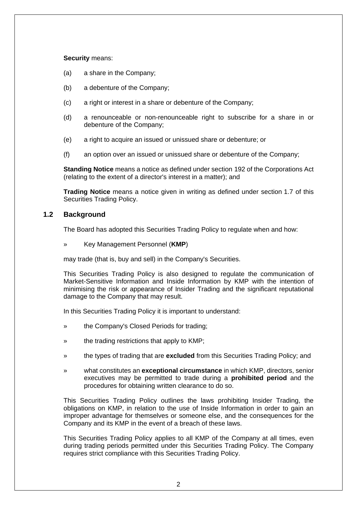#### **Security** means:

- (a) a share in the Company;
- (b) a debenture of the Company;
- (c) a right or interest in a share or debenture of the Company;
- (d) a renounceable or non-renounceable right to subscribe for a share in or debenture of the Company;
- (e) a right to acquire an issued or unissued share or debenture; or
- (f) an option over an issued or unissued share or debenture of the Company;

**Standing Notice** means a notice as defined under section 192 of the Corporations Act (relating to the extent of a director's interest in a matter); and

**Trading Notice** means a notice given in writing as defined under section [1.7](#page-5-0) of this Securities Trading Policy.

## **1.2 Background**

The Board has adopted this Securities Trading Policy to regulate when and how:

» Key Management Personnel (**KMP**)

may trade (that is, buy and sell) in the Company's Securities.

This Securities Trading Policy is also designed to regulate the communication of Market-Sensitive Information and Inside Information by KMP with the intention of minimising the risk or appearance of Insider Trading and the significant reputational damage to the Company that may result.

In this Securities Trading Policy it is important to understand:

- » the Company's Closed Periods for trading;
- » the trading restrictions that apply to KMP;
- » the types of trading that are **excluded** from this Securities Trading Policy; and
- » what constitutes an **exceptional circumstance** in which KMP, directors, senior executives may be permitted to trade during a **prohibited period** and the procedures for obtaining written clearance to do so.

This Securities Trading Policy outlines the laws prohibiting Insider Trading, the obligations on KMP, in relation to the use of Inside Information in order to gain an improper advantage for themselves or someone else, and the consequences for the Company and its KMP in the event of a breach of these laws.

This Securities Trading Policy applies to all KMP of the Company at all times, even during trading periods permitted under this Securities Trading Policy. The Company requires strict compliance with this Securities Trading Policy.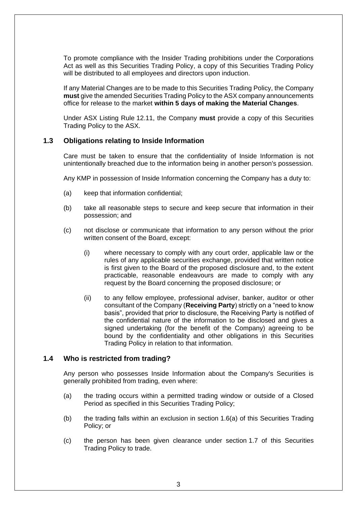To promote compliance with the Insider Trading prohibitions under the Corporations Act as well as this Securities Trading Policy, a copy of this Securities Trading Policy will be distributed to all employees and directors upon induction.

If any Material Changes are to be made to this Securities Trading Policy, the Company **must** give the amended Securities Trading Policy to the ASX company announcements office for release to the market **within 5 days of making the Material Changes**.

Under ASX Listing Rule 12.11, the Company **must** provide a copy of this Securities Trading Policy to the ASX.

## **1.3 Obligations relating to Inside Information**

Care must be taken to ensure that the confidentiality of Inside Information is not unintentionally breached due to the information being in another person's possession.

Any KMP in possession of Inside Information concerning the Company has a duty to:

- (a) keep that information confidential;
- (b) take all reasonable steps to secure and keep secure that information in their possession; and
- (c) not disclose or communicate that information to any person without the prior written consent of the Board, except:
	- (i) where necessary to comply with any court order, applicable law or the rules of any applicable securities exchange, provided that written notice is first given to the Board of the proposed disclosure and, to the extent practicable, reasonable endeavours are made to comply with any request by the Board concerning the proposed disclosure; or
	- (ii) to any fellow employee, professional adviser, banker, auditor or other consultant of the Company (**Receiving Party**) strictly on a "need to know basis", provided that prior to disclosure, the Receiving Party is notified of the confidential nature of the information to be disclosed and gives a signed undertaking (for the benefit of the Company) agreeing to be bound by the confidentiality and other obligations in this Securities Trading Policy in relation to that information.

### **1.4 Who is restricted from trading?**

Any person who possesses Inside Information about the Company's Securities is generally prohibited from trading, even where:

- (a) the trading occurs within a permitted trading window or outside of a Closed Period as specified in this Securities Trading Policy;
- (b) the trading falls within an exclusion in section [1.6\(a\)](#page-3-1) of this Securities Trading Policy; or
- (c) the person has been given clearance under section [1.7](#page-5-0) of this Securities Trading Policy to trade.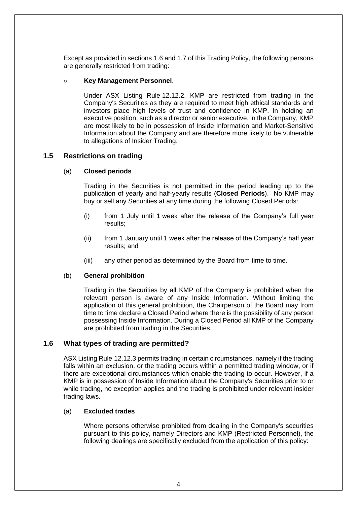Except as provided in sections [1.6](#page-3-2) and [1.7](#page-5-0) of this Trading Policy, the following persons are generally restricted from trading:

#### » **Key Management Personnel**.

Under ASX Listing Rule 12.12.2, KMP are restricted from trading in the Company's Securities as they are required to meet high ethical standards and investors place high levels of trust and confidence in KMP. In holding an executive position, such as a director or senior executive, in the Company, KMP are most likely to be in possession of Inside Information and Market-Sensitive Information about the Company and are therefore more likely to be vulnerable to allegations of Insider Trading.

### <span id="page-3-0"></span>**1.5 Restrictions on trading**

#### (a) **Closed periods**

Trading in the Securities is not permitted in the period leading up to the publication of yearly and half-yearly results (**Closed Periods**). No KMP may buy or sell any Securities at any time during the following Closed Periods:

- (i) from 1 July until 1 week after the release of the Company's full year results;
- (ii) from 1 January until 1 week after the release of the Company's half year results; and
- (iii) any other period as determined by the Board from time to time.

### <span id="page-3-3"></span>(b) **General prohibition**

Trading in the Securities by all KMP of the Company is prohibited when the relevant person is aware of any Inside Information. Without limiting the application of this general prohibition, the Chairperson of the Board may from time to time declare a Closed Period where there is the possibility of any person possessing Inside Information. During a Closed Period all KMP of the Company are prohibited from trading in the Securities.

### <span id="page-3-2"></span>**1.6 What types of trading are permitted?**

ASX Listing Rule 12.12.3 permits trading in certain circumstances, namely if the trading falls within an exclusion, or the trading occurs within a permitted trading window, or if there are exceptional circumstances which enable the trading to occur. However, if a KMP is in possession of Inside Information about the Company's Securities prior to or while trading, no exception applies and the trading is prohibited under relevant insider trading laws.

#### <span id="page-3-1"></span>(a) **Excluded trades**

Where persons otherwise prohibited from dealing in the Company's securities pursuant to this policy, namely Directors and KMP (Restricted Personnel), the following dealings are specifically excluded from the application of this policy: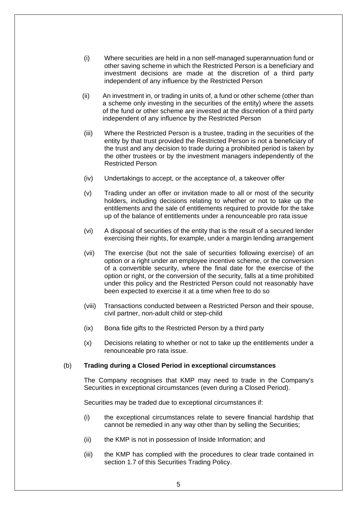- (i) Where securities are held in a non self-managed superannuation fund or other saving scheme in which the Restricted Person is a beneficiary and investment decisions are made at the discretion of a third party independent of any influence by the Restricted Person
- (ii) An investment in, or trading in units of, a fund or other scheme (other than a scheme only investing in the securities of the entity) where the assets of the fund or other scheme are invested at the discretion of a third party independent of any influence by the Restricted Person
- (iii) Where the Restricted Person is a trustee, trading in the securities of the entity by that trust provided the Restricted Person is not a beneficiary of the trust and any decision to trade during a prohibited period is taken by the other trustees or by the investment managers independently of the Restricted Person
- (iv) Undertakings to accept, or the acceptance of, a takeover offer
- (v) Trading under an offer or invitation made to all or most of the security holders, including decisions relating to whether or not to take up the entitlements and the sale of entitlements required to provide for the take up of the balance of entitlements under a renounceable pro rata issue
- (vi) A disposal of securities of the entity that is the result of a secured lender exercising their rights, for example, under a margin lending arrangement
- (vii) The exercise (but not the sale of securities following exercise) of an option or a right under an employee incentive scheme, or the conversion of a convertible security, where the final date for the exercise of the option or right, or the conversion of the security, falls at a time prohibited under this policy and the Restricted Person could not reasonably have been expected to exercise it at a time when free to do so
- (viii) Transactions conducted between a Restricted Person and their spouse, civil partner, non-adult child or step-child
- (ix) Bona fide gifts to the Restricted Person by a third party
- (x) Decisions relating to whether or not to take up the entitlements under a renounceable pro rata issue.

#### (b) **Trading during a Closed Period in exceptional circumstances**

The Company recognises that KMP may need to trade in the Company's Securities in exceptional circumstances (even during a Closed Period).

Securities may be traded due to exceptional circumstances if:

- (i) the exceptional circumstances relate to severe financial hardship that cannot be remedied in any way other than by selling the Securities;
- (ii) the KMP is not in possession of Inside Information; and
- (iii) the KMP has complied with the procedures to clear trade contained in section [1.7](#page-5-0) of this Securities Trading Policy.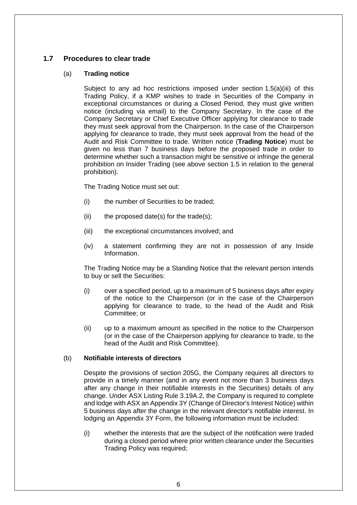# <span id="page-5-0"></span>**1.7 Procedures to clear trade**

### (a) **Trading notice**

Subject to any ad hoc restrictions imposed under section [1.5\(a\)\(iii\)](#page-3-3) of this Trading Policy, if a KMP wishes to trade in Securities of the Company in exceptional circumstances or during a Closed Period, they must give written notice (including via email) to the Company Secretary. In the case of the Company Secretary or Chief Executive Officer applying for clearance to trade they must seek approval from the Chairperson. In the case of the Chairperson applying for clearance to trade, they must seek approval from the head of the Audit and Risk Committee to trade. Written notice (**Trading Notice**) must be given no less than 7 business days before the proposed trade in order to determine whether such a transaction might be sensitive or infringe the general prohibition on Insider Trading (see above section [1.5](#page-3-0) in relation to the general prohibition).

The Trading Notice must set out:

- (i) the number of Securities to be traded;
- (ii) the proposed date(s) for the trade(s);
- (iii) the exceptional circumstances involved; and
- (iv) a statement confirming they are not in possession of any Inside Information.

The Trading Notice may be a Standing Notice that the relevant person intends to buy or sell the Securities:

- (i) over a specified period, up to a maximum of 5 business days after expiry of the notice to the Chairperson (or in the case of the Chairperson applying for clearance to trade, to the head of the Audit and Risk Committee; or
- (ii) up to a maximum amount as specified in the notice to the Chairperson (or in the case of the Chairperson applying for clearance to trade, to the head of the Audit and Risk Committee).

### (b) **Notifiable interests of directors**

Despite the provisions of section 205G, the Company requires all directors to provide in a timely manner (and in any event not more than 3 business days after any change in their notifiable interests in the Securities) details of any change. Under ASX Listing Rule 3.19A.2, the Company is required to complete and lodge with ASX an Appendix 3Y (Change of Director's Interest Notice) within 5 business days after the change in the relevant director's notifiable interest. In lodging an Appendix 3Y Form, the following information must be included:

(i) whether the interests that are the subject of the notification were traded during a closed period where prior written clearance under the Securities Trading Policy was required;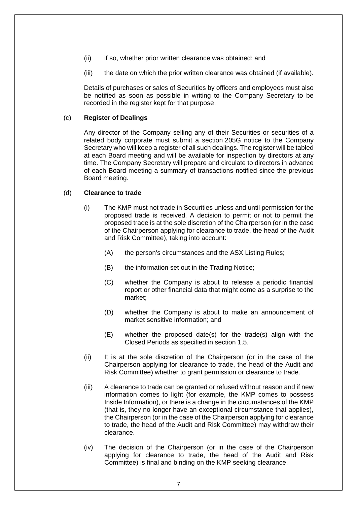- (ii) if so, whether prior written clearance was obtained; and
- (iii) the date on which the prior written clearance was obtained (if available).

Details of purchases or sales of Securities by officers and employees must also be notified as soon as possible in writing to the Company Secretary to be recorded in the register kept for that purpose.

### (c) **Register of Dealings**

Any director of the Company selling any of their Securities or securities of a related body corporate must submit a section 205G notice to the Company Secretary who will keep a register of all such dealings. The register will be tabled at each Board meeting and will be available for inspection by directors at any time. The Company Secretary will prepare and circulate to directors in advance of each Board meeting a summary of transactions notified since the previous Board meeting.

### (d) **Clearance to trade**

- (i) The KMP must not trade in Securities unless and until permission for the proposed trade is received. A decision to permit or not to permit the proposed trade is at the sole discretion of the Chairperson (or in the case of the Chairperson applying for clearance to trade, the head of the Audit and Risk Committee), taking into account:
	- (A) the person's circumstances and the ASX Listing Rules;
	- (B) the information set out in the Trading Notice;
	- (C) whether the Company is about to release a periodic financial report or other financial data that might come as a surprise to the market;
	- (D) whether the Company is about to make an announcement of market sensitive information; and
	- (E) whether the proposed date(s) for the trade(s) align with the Closed Periods as specified in section [1.5.](#page-3-0)
- (ii) It is at the sole discretion of the Chairperson (or in the case of the Chairperson applying for clearance to trade, the head of the Audit and Risk Committee) whether to grant permission or clearance to trade.
- (iii) A clearance to trade can be granted or refused without reason and if new information comes to light (for example, the KMP comes to possess Inside Information), or there is a change in the circumstances of the KMP (that is, they no longer have an exceptional circumstance that applies), the Chairperson (or in the case of the Chairperson applying for clearance to trade, the head of the Audit and Risk Committee) may withdraw their clearance.
- (iv) The decision of the Chairperson (or in the case of the Chairperson applying for clearance to trade, the head of the Audit and Risk Committee) is final and binding on the KMP seeking clearance.